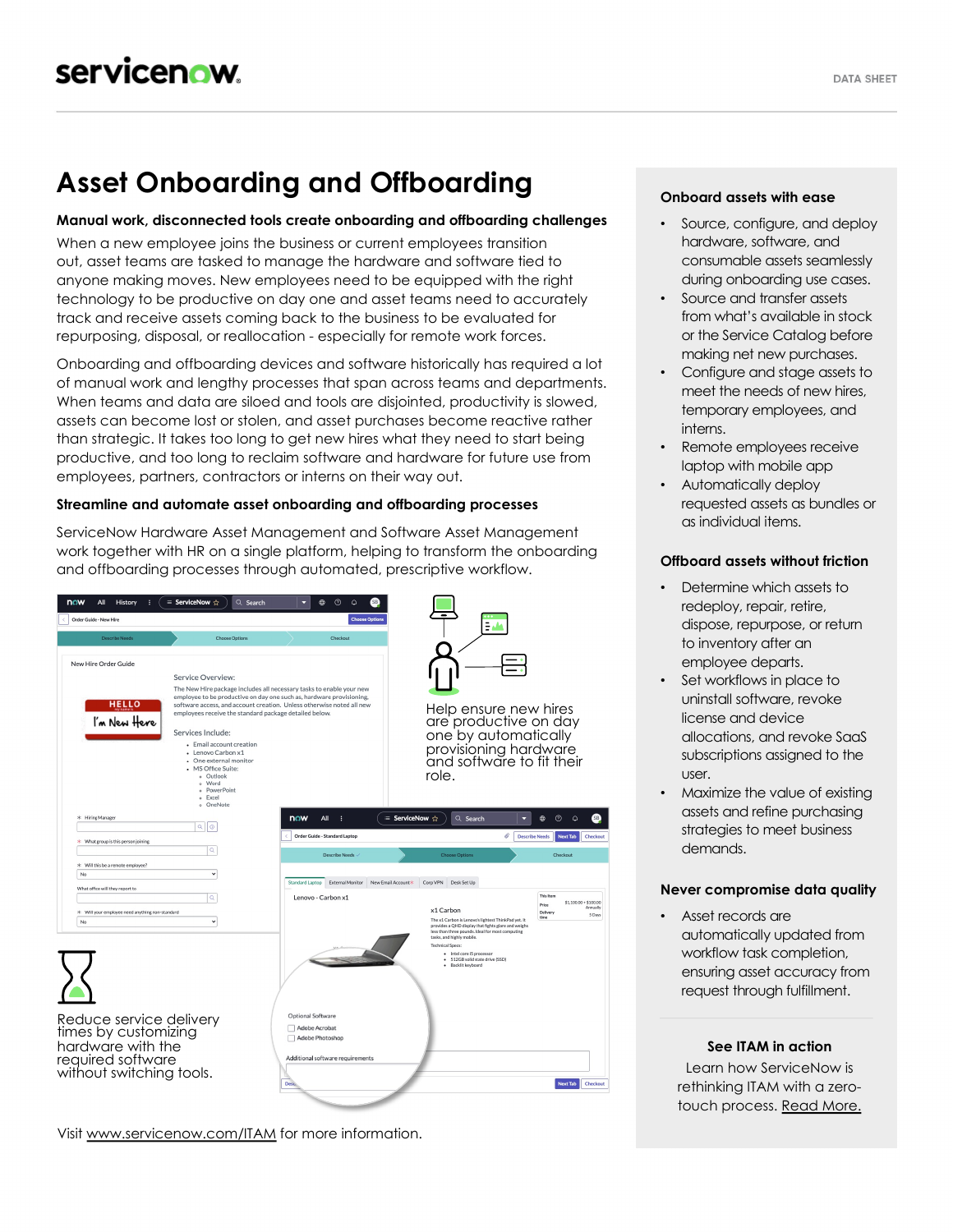# **Asset Onboarding and Offboarding**

#### **Manual work, disconnected tools create onboarding and offboarding challenges**

When a new employee joins the business or current employees transition out, asset teams are tasked to manage the hardware and software tied to anyone making moves. New employees need to be equipped with the right technology to be productive on day one and asset teams need to accurately track and receive assets coming back to the business to be evaluated for repurposing, disposal, or reallocation - especially for remote work forces.

Onboarding and offboarding devices and software historically has required a lot of manual work and lengthy processes that span across teams and departments. When teams and data are siloed and tools are disjointed, productivity is slowed, assets can become lost or stolen, and asset purchases become reactive rather than strategic. It takes too long to get new hires what they need to start being productive, and too long to reclaim software and hardware for future use from employees, partners, contractors or interns on their way out.

#### **Streamline and automate asset onboarding and offboarding processes**

ServiceNow Hardware Asset Management and Software Asset Management work together with HR on a single platform, helping to transform the onboarding and offboarding processes through automated, prescriptive workflow.



Visit [www.servicenow.com/ITAM](http://www.servicenow.com/ITAM) for more information.

### **Onboard assets with ease**

- Source, configure, and deploy hardware, software, and consumable assets seamlessly during onboarding use cases.
- Source and transfer assets from what's available in stock or the Service Catalog before making net new purchases.
- Configure and stage assets to meet the needs of new hires, temporary employees, and interns.
- Remote employees receive laptop with mobile app
- Automatically deploy requested assets as bundles or as individual items.

#### **Offboard assets without friction**

- Determine which assets to redeploy, repair, retire, dispose, repurpose, or return to inventory after an employee departs.
- Set workflows in place to uninstall software, revoke license and device allocations, and revoke SaaS subscriptions assigned to the user.
- Maximize the value of existing assets and refine purchasing strategies to meet business demands.

#### **Never compromise data quality**

Asset records are automatically updated from workflow task completion, ensuring asset accuracy from request through fulfillment.

#### **See ITAM in action**

Learn how ServiceNow is rethinking ITAM with a zero-touch process. [Read More.](https://blogs.servicenow.com/2021/it-asset-management-pre-covid.html)